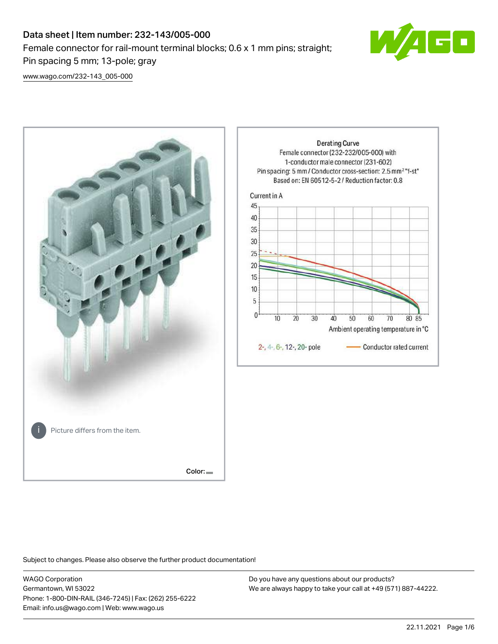# Data sheet | Item number: 232-143/005-000 Female connector for rail-mount terminal blocks; 0.6 x 1 mm pins; straight; Pin spacing 5 mm; 13-pole; gray



[www.wago.com/232-143\\_005-000](http://www.wago.com/232-143_005-000)



Subject to changes. Please also observe the further product documentation!

WAGO Corporation Germantown, WI 53022 Phone: 1-800-DIN-RAIL (346-7245) | Fax: (262) 255-6222 Email: info.us@wago.com | Web: www.wago.us

Do you have any questions about our products? We are always happy to take your call at +49 (571) 887-44222.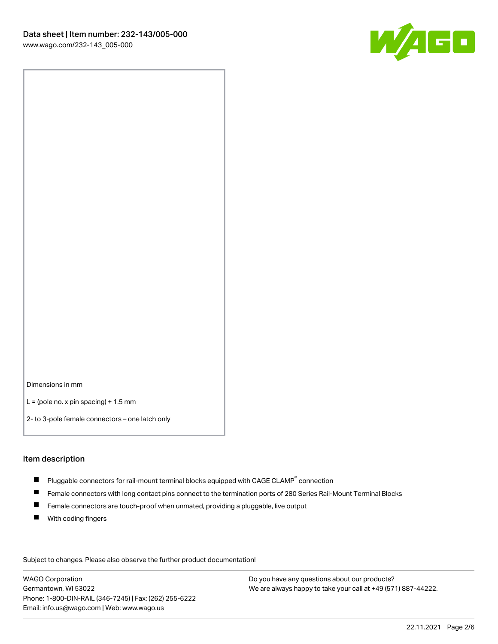

Dimensions in mm

 $L =$  (pole no. x pin spacing) + 1.5 mm

2- to 3-pole female connectors – one latch only

#### Item description

- $\blacksquare$  Pluggable connectors for rail-mount terminal blocks equipped with CAGE CLAMP $^\circ$  connection
- Female connectors with long contact pins connect to the termination ports of 280 Series Rail-Mount Terminal Blocks
- $\blacksquare$ Female connectors are touch-proof when unmated, providing a pluggable, live output
- $\blacksquare$ With coding fingers

Subject to changes. Please also observe the further product documentation! Data

WAGO Corporation Germantown, WI 53022 Phone: 1-800-DIN-RAIL (346-7245) | Fax: (262) 255-6222 Email: info.us@wago.com | Web: www.wago.us

Do you have any questions about our products? We are always happy to take your call at +49 (571) 887-44222.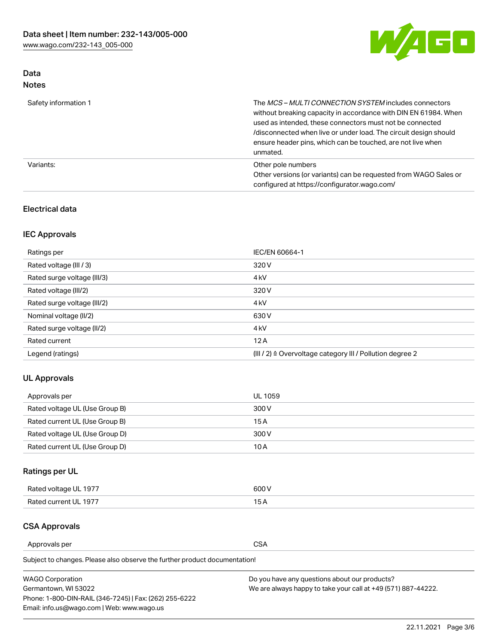

## Data Notes

| Safety information 1 | The MCS-MULTI CONNECTION SYSTEM includes connectors<br>without breaking capacity in accordance with DIN EN 61984. When<br>used as intended, these connectors must not be connected<br>/disconnected when live or under load. The circuit design should<br>ensure header pins, which can be touched, are not live when<br>unmated. |
|----------------------|-----------------------------------------------------------------------------------------------------------------------------------------------------------------------------------------------------------------------------------------------------------------------------------------------------------------------------------|
| Variants:            | Other pole numbers<br>Other versions (or variants) can be requested from WAGO Sales or<br>configured at https://configurator.wago.com/                                                                                                                                                                                            |

### Electrical data

## IEC Approvals

| Ratings per                 | IEC/EN 60664-1                                                        |
|-----------------------------|-----------------------------------------------------------------------|
| Rated voltage (III / 3)     | 320 V                                                                 |
| Rated surge voltage (III/3) | 4 <sub>k</sub> V                                                      |
| Rated voltage (III/2)       | 320 V                                                                 |
| Rated surge voltage (III/2) | 4 <sub>k</sub> V                                                      |
| Nominal voltage (II/2)      | 630 V                                                                 |
| Rated surge voltage (II/2)  | 4 <sub>k</sub> V                                                      |
| Rated current               | 12A                                                                   |
| Legend (ratings)            | $(III / 2)$ $\triangle$ Overvoltage category III / Pollution degree 2 |

### UL Approvals

| Approvals per                  | UL 1059 |
|--------------------------------|---------|
| Rated voltage UL (Use Group B) | 300 V   |
| Rated current UL (Use Group B) | 15 A    |
| Rated voltage UL (Use Group D) | 300 V   |
| Rated current UL (Use Group D) | 10 A    |

## Ratings per UL

| Rated voltage UL 1977 | 300 V |
|-----------------------|-------|
| Rated current UL 1977 |       |

## CSA Approvals

Approvals per CSA

Subject to changes. Please also observe the further product documentation!

| <b>WAGO Corporation</b>                                | Do you have any questions about our products?                 |
|--------------------------------------------------------|---------------------------------------------------------------|
| Germantown, WI 53022                                   | We are always happy to take your call at +49 (571) 887-44222. |
| Phone: 1-800-DIN-RAIL (346-7245)   Fax: (262) 255-6222 |                                                               |
| Email: info.us@wago.com   Web: www.wago.us             |                                                               |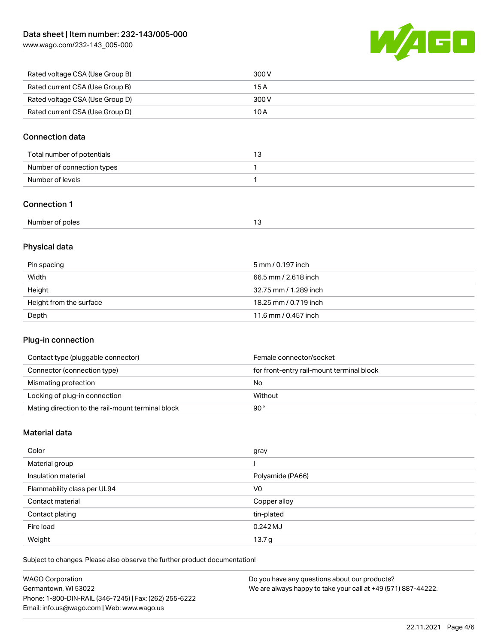[www.wago.com/232-143\\_005-000](http://www.wago.com/232-143_005-000)



| Rated voltage CSA (Use Group B) | 300 V |
|---------------------------------|-------|
| Rated current CSA (Use Group B) | 15 A  |
| Rated voltage CSA (Use Group D) | 300 V |
| Rated current CSA (Use Group D) | 10 A  |

### Connection data

| Total number of potentials |  |
|----------------------------|--|
| Number of connection types |  |
| Number of levels           |  |

### Connection 1

| Number of poles | $\sim$ |
|-----------------|--------|
|-----------------|--------|

## Physical data

| Pin spacing             | 5 mm / 0.197 inch     |
|-------------------------|-----------------------|
| Width                   | 66.5 mm / 2.618 inch  |
| Height                  | 32.75 mm / 1.289 inch |
| Height from the surface | 18.25 mm / 0.719 inch |
| Depth                   | 11.6 mm / 0.457 inch  |

### Plug-in connection

| Contact type (pluggable connector)                | Female connector/socket                   |
|---------------------------------------------------|-------------------------------------------|
| Connector (connection type)                       | for front-entry rail-mount terminal block |
| Mismating protection                              | No                                        |
| Locking of plug-in connection                     | Without                                   |
| Mating direction to the rail-mount terminal block | 90°                                       |

### Material data

| Color                       | gray              |
|-----------------------------|-------------------|
| Material group              |                   |
| Insulation material         | Polyamide (PA66)  |
| Flammability class per UL94 | V <sub>0</sub>    |
| Contact material            | Copper alloy      |
| Contact plating             | tin-plated        |
| Fire load                   | $0.242$ MJ        |
| Weight                      | 13.7 <sub>g</sub> |

Subject to changes. Please also observe the further product documentation!

| <b>WAGO Corporation</b>                                | Do you have any questions about our products?                 |
|--------------------------------------------------------|---------------------------------------------------------------|
| Germantown, WI 53022                                   | We are always happy to take your call at +49 (571) 887-44222. |
| Phone: 1-800-DIN-RAIL (346-7245)   Fax: (262) 255-6222 |                                                               |
| Email: info.us@wago.com   Web: www.wago.us             |                                                               |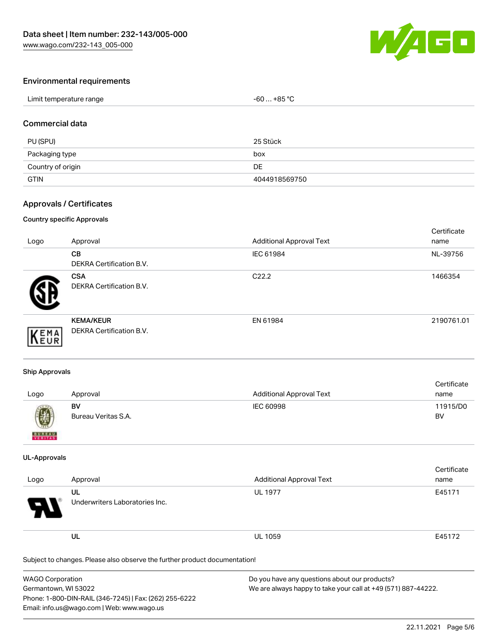

### Environmental requirements

#### Commercial data

| PU (SPU)          | 25 Stück      |
|-------------------|---------------|
| Packaging type    | box           |
| Country of origin | DE            |
| <b>GTIN</b>       | 4044918569750 |

### Approvals / Certificates

#### Country specific Approvals

| Logo | Approval                                     | <b>Additional Approval Text</b> | Certificate<br>name |
|------|----------------------------------------------|---------------------------------|---------------------|
|      | CВ<br>DEKRA Certification B.V.               | IEC 61984                       | NL-39756            |
|      | <b>CSA</b><br>DEKRA Certification B.V.       | C <sub>22.2</sub>               | 1466354             |
| EMA  | <b>KEMA/KEUR</b><br>DEKRA Certification B.V. | EN 61984                        | 2190761.01          |

#### Ship Approvals

| Logo             | Approval                  | <b>Additional Approval Text</b> | Certificate<br>name |
|------------------|---------------------------|---------------------------------|---------------------|
| $\bigcircled{0}$ | BV<br>Bureau Veritas S.A. | IEC 60998                       | 11915/D0<br>BV      |
| <b>BUREAU</b>    |                           |                                 |                     |

#### UL-Approvals

| Logo                             | Approval                             | <b>Additional Approval Text</b> | Certificate<br>name |
|----------------------------------|--------------------------------------|---------------------------------|---------------------|
| $\boldsymbol{\mathcal{A}}$<br>77 | UL<br>Underwriters Laboratories Inc. | <b>UL 1977</b>                  | E45171              |
|                                  | UL                                   | <b>UL 1059</b>                  | E45172              |

Subject to changes. Please also observe the further product documentation!

| <b>WAGO Corporation</b>                                | Do you have any questions about our products?                 |
|--------------------------------------------------------|---------------------------------------------------------------|
| Germantown, WI 53022                                   | We are always happy to take your call at +49 (571) 887-44222. |
| Phone: 1-800-DIN-RAIL (346-7245)   Fax: (262) 255-6222 |                                                               |
| Email: info.us@wago.com   Web: www.wago.us             |                                                               |